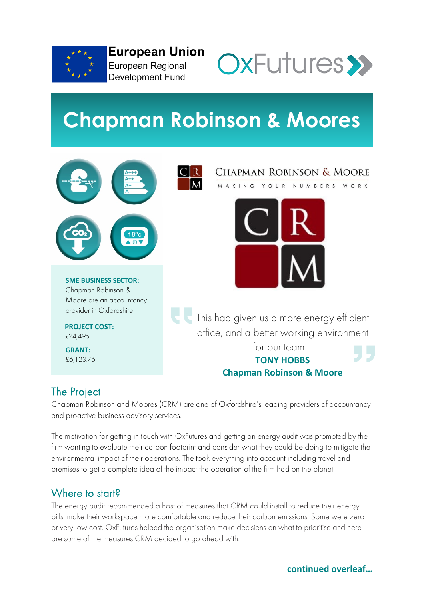

**European Union** European Regional **Development Fund** 



# **Chapman Robinson & Moores**



# The Project

Chapman Robinson and Moores (CRM) are one of Oxfordshire's leading providers of accountancy and proactive business advisory services.

The motivation for getting in touch with OxFutures and getting an energy audit was prompted by the firm wanting to evaluate their carbon footprint and consider what they could be doing to mitigate the environmental impact of their operations. The took everything into account including travel and premises to get a complete idea of the impact the operation of the firm had on the planet.

# Where to start?

The energy audit recommended a host of measures that CRM could install to reduce their energy bills, make their workspace more comfortable and reduce their carbon emissions. Some were zero or very low cost. OxFutures helped the organisation make decisions on what to prioritise and here are some of the measures CRM decided to go ahead with.